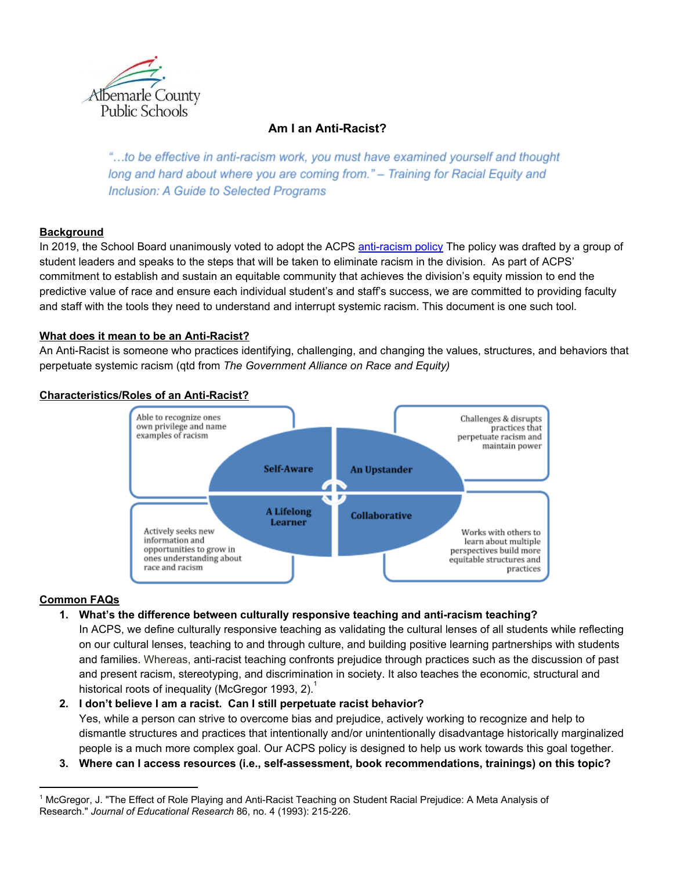

# **Am I an Anti-Racist?**

"...to be effective in anti-racism work, you must have examined yourself and thought long and hard about where you are coming from." - Training for Racial Equity and Inclusion: A Guide to Selected Programs

## **Background**

In 2019, the School Board unanimously voted to adopt the ACPS [anti-racism](https://www.k12albemarle.org/acps/division/anti-racism-policy/Pages/default.aspx) policy The policy was drafted by a group of student leaders and speaks to the steps that will be taken to eliminate racism in the division. As part of ACPS' commitment to establish and sustain an equitable community that achieves the division's equity mission to end the predictive value of race and ensure each individual student's and staff's success, we are committed to providing faculty and staff with the tools they need to understand and interrupt systemic racism. This document is one such tool.

#### **What does it mean to be an Anti-Racist?**

An Anti-Racist is someone who practices identifying, challenging, and changing the values, structures, and behaviors that perpetuate systemic racism (qtd from *The Government Alliance on Race and Equity)*



#### **Characteristics/Roles of an Anti-Racist?**

#### **Common FAQs**

- **1. What's the difference between culturally responsive teaching and anti-racism teaching?**
	- In ACPS, we define culturally responsive teaching as validating the cultural lenses of all students while reflecting on our cultural lenses, teaching to and through culture, and building positive learning partnerships with students and families. Whereas, anti-racist teaching confronts prejudice through practices such as the discussion of past and present racism, stereotyping, and discrimination in society. It also teaches the economic, structural and historical roots of inequality (McGregor 1993, 2).<sup>1</sup>

#### **2. I don't believe I am a racist. Can I still perpetuate racist behavior?**

Yes, while a person can strive to overcome bias and prejudice, actively working to recognize and help to dismantle structures and practices that intentionally and/or unintentionally disadvantage historically marginalized people is a much more complex goal. Our ACPS policy is designed to help us work towards this goal together.

**3. Where can I access resources (i.e., self-assessment, book recommendations, trainings) on this topic?**

<sup>&</sup>lt;sup>1</sup> McGregor, J. "The Effect of Role Playing and Anti-Racist Teaching on Student Racial Prejudice: A Meta Analysis of Research." *Journal of Educational Research* 86, no. 4 (1993): 215-226.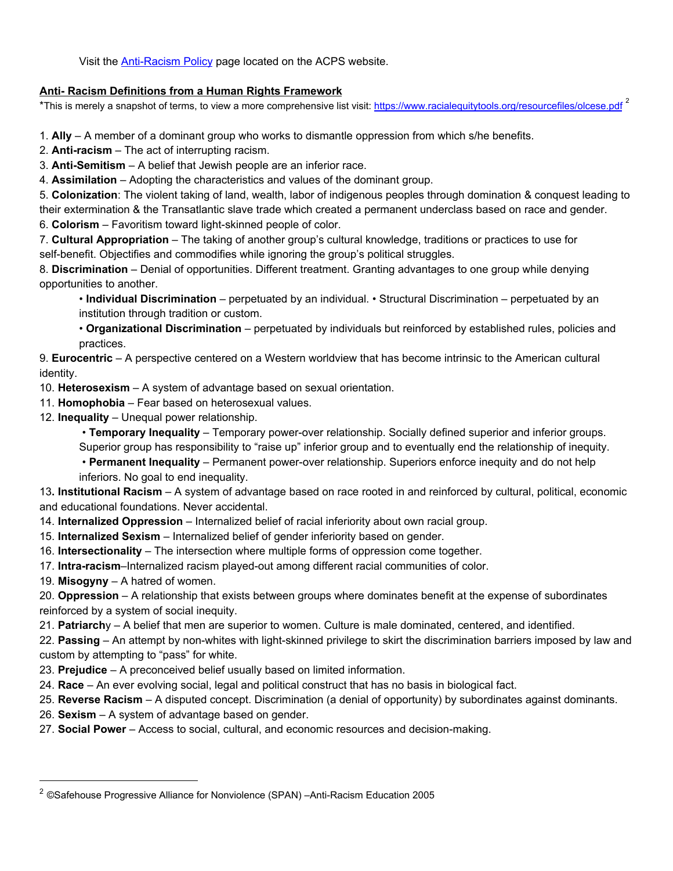Visit the [Anti-Racism](https://www.k12albemarle.org/acps/division/anti-racism-policy/Pages/default.aspx) Policy page located on the ACPS website.

## **Anti- Racism Definitions from a Human Rights Framework**

\*This is merely a snapshot of terms, to view a more comprehensive list visit:<https://www.racialequitytools.org/resourcefiles/olcese.pdf> <sup>2</sup>

1. **Ally** – A member of a dominant group who works to dismantle oppression from which s/he benefits.

2. **Anti-racism** – The act of interrupting racism.

3. **Anti-Semitism** – A belief that Jewish people are an inferior race.

4. **Assimilation** – Adopting the characteristics and values of the dominant group.

5. **Colonization**: The violent taking of land, wealth, labor of indigenous peoples through domination & conquest leading to their extermination & the Transatlantic slave trade which created a permanent underclass based on race and gender.

6. **Colorism** – Favoritism toward light-skinned people of color.

7. **Cultural Appropriation** – The taking of another group's cultural knowledge, traditions or practices to use for self-benefit. Objectifies and commodifies while ignoring the group's political struggles.

8. **Discrimination** – Denial of opportunities. Different treatment. Granting advantages to one group while denying opportunities to another.

• **Individual Discrimination** – perpetuated by an individual. • Structural Discrimination – perpetuated by an institution through tradition or custom.

• **Organizational Discrimination** – perpetuated by individuals but reinforced by established rules, policies and practices.

9. **Eurocentric** – A perspective centered on a Western worldview that has become intrinsic to the American cultural identity.

10. **Heterosexism** – A system of advantage based on sexual orientation.

- 11. **Homophobia** Fear based on heterosexual values.
- 12. **Inequality** Unequal power relationship.

• **Temporary Inequality** – Temporary power-over relationship. Socially defined superior and inferior groups.

- Superior group has responsibility to "raise up" inferior group and to eventually end the relationship of inequity.
- **Permanent Inequality** Permanent power-over relationship. Superiors enforce inequity and do not help inferiors. No goal to end inequality.

13**. Institutional Racism** – A system of advantage based on race rooted in and reinforced by cultural, political, economic and educational foundations. Never accidental.

14. **Internalized Oppression** – Internalized belief of racial inferiority about own racial group.

- 15. **Internalized Sexism** Internalized belief of gender inferiority based on gender.
- 16. **Intersectionality** The intersection where multiple forms of oppression come together.
- 17. **Intra-racism**–Internalized racism played-out among different racial communities of color.

19. **Misogyny** – A hatred of women.

20. **Oppression** – A relationship that exists between groups where dominates benefit at the expense of subordinates reinforced by a system of social inequity.

21. **Patriarch**y – A belief that men are superior to women. Culture is male dominated, centered, and identified.

22. **Passing** – An attempt by non-whites with light-skinned privilege to skirt the discrimination barriers imposed by law and custom by attempting to "pass" for white.

- 23. **Prejudice** A preconceived belief usually based on limited information.
- 24. **Race** An ever evolving social, legal and political construct that has no basis in biological fact.
- 25. **Reverse Racism** A disputed concept. Discrimination (a denial of opportunity) by subordinates against dominants.
- 26. **Sexism** A system of advantage based on gender.
- 27. **Social Power** Access to social, cultural, and economic resources and decision-making.

<sup>2</sup> ©Safehouse Progressive Alliance for Nonviolence (SPAN) –Anti-Racism Education 2005